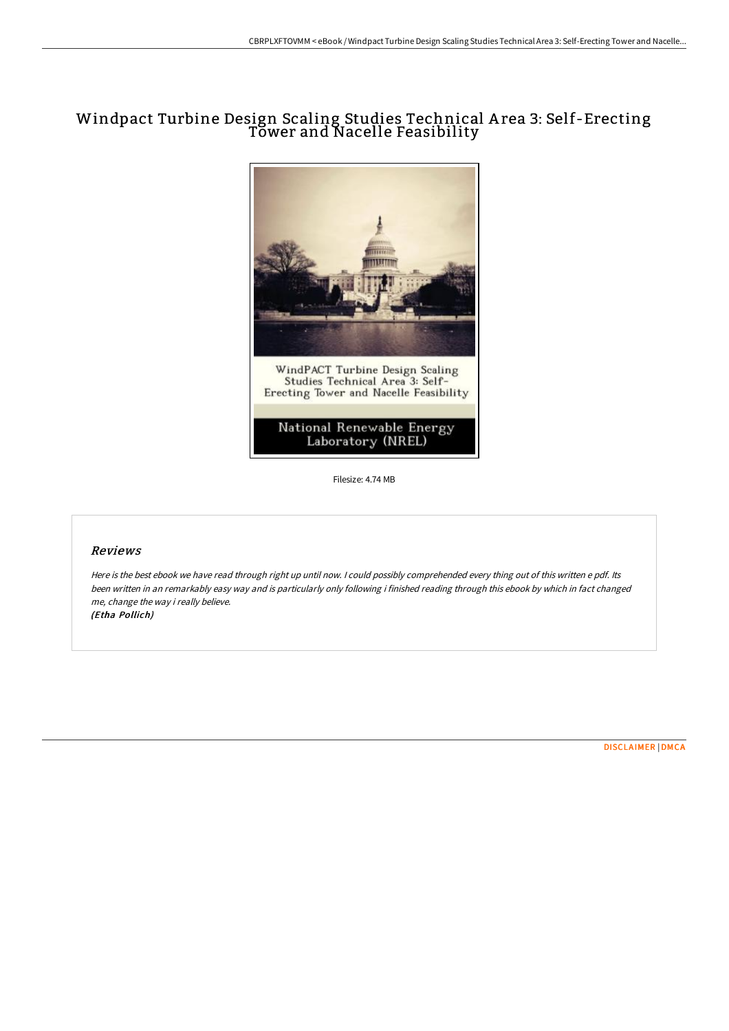## Windpact Turbine Design Scaling Studies Technical A rea 3: Self-Erecting Tower and Nacelle Feasibility



Filesize: 4.74 MB

## Reviews

Here is the best ebook we have read through right up until now. <sup>I</sup> could possibly comprehended every thing out of this written <sup>e</sup> pdf. Its been written in an remarkably easy way and is particularly only following i finished reading through this ebook by which in fact changed me, change the way i really believe. (Etha Pollich)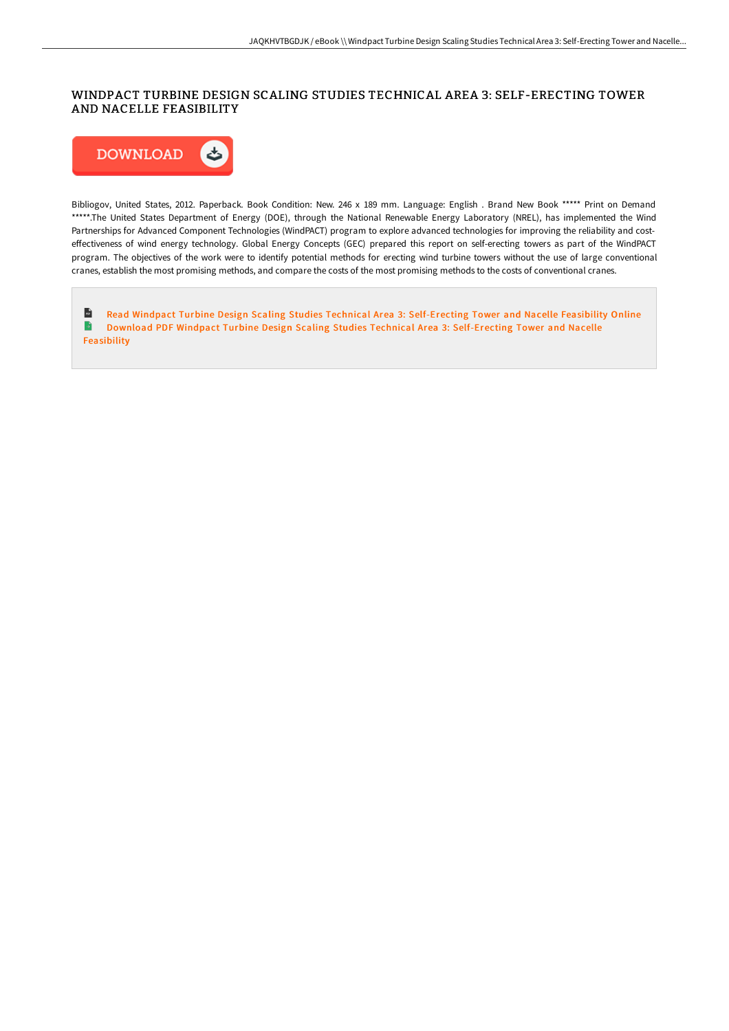## WINDPACT TURBINE DESIGN SCALING STUDIES TECHNICAL AREA 3: SELF-ERECTING TOWER AND NACELLE FEASIBILITY



Bibliogov, United States, 2012. Paperback. Book Condition: New. 246 x 189 mm. Language: English . Brand New Book \*\*\*\*\* Print on Demand \*\*\*\*\*.The United States Department of Energy (DOE), through the National Renewable Energy Laboratory (NREL), has implemented the Wind Partnerships for Advanced Component Technologies (WindPACT) program to explore advanced technologies for improving the reliability and costeFectiveness of wind energy technology. Global Energy Concepts (GEC) prepared this report on self-erecting towers as part of the WindPACT program. The objectives of the work were to identify potential methods for erecting wind turbine towers without the use of large conventional cranes, establish the most promising methods, and compare the costs of the most promising methods to the costs of conventional cranes.

 $\overrightarrow{116}$ Read Windpact Turbine Design Scaling Studies Technical Area 3: [Self-Erecting](http://techno-pub.tech/windpact-turbine-design-scaling-studies-technica.html) Tower and Nacelle Feasibility Online  $\blacksquare$ Download PDF Windpact Turbine Design Scaling Studies Technical Area 3: [Self-Erecting](http://techno-pub.tech/windpact-turbine-design-scaling-studies-technica.html) Tower and Nacelle Feasibility